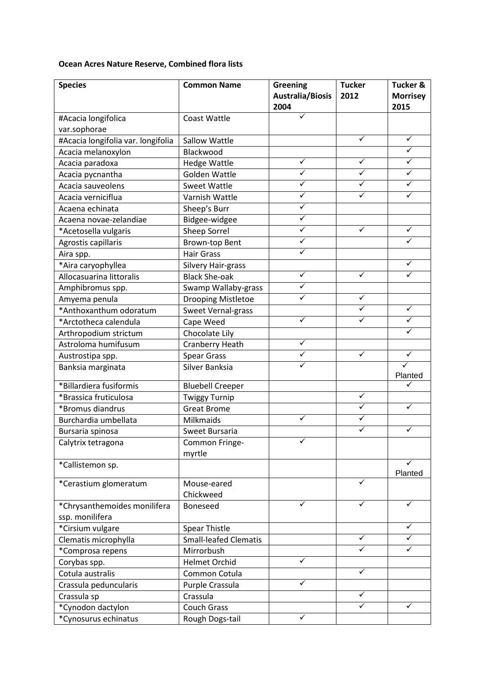## **Ocean Acres Nature Reserve, Combined flora lists**

| <b>Species</b>                     | <b>Common Name</b>           | <b>Greening</b><br><b>Australia/Biosis</b><br>2004 | <b>Tucker</b><br>2012   | <b>Tucker &amp;</b><br><b>Morrisey</b><br>2015 |
|------------------------------------|------------------------------|----------------------------------------------------|-------------------------|------------------------------------------------|
| #Acacia longifolica                | <b>Coast Wattle</b>          |                                                    |                         |                                                |
| var.sophorae                       |                              |                                                    |                         |                                                |
| #Acacia longifolia var. longifolia | Sallow Wattle                |                                                    | $\checkmark$            | $\checkmark$                                   |
| Acacia melanoxylon                 | Blackwood                    |                                                    |                         | ✓                                              |
| Acacia paradoxa                    | <b>Hedge Wattle</b>          | ✓                                                  | ✓                       | ✓                                              |
| Acacia pycnantha                   | Golden Wattle                | ✓                                                  | $\overline{\checkmark}$ | ✓                                              |
| Acacia sauveolens                  | <b>Sweet Wattle</b>          | ✓                                                  | ✓                       | ✓                                              |
| Acacia verniciflua                 | Varnish Wattle               | ✓                                                  | ✓                       | ✓                                              |
| Acaena echinata                    | Sheep's Burr                 | ✓                                                  |                         |                                                |
| Acaena novae-zelandiae             | Bidgee-widgee                | $\checkmark$                                       |                         |                                                |
| *Acetosella vulgaris               | <b>Sheep Sorrel</b>          | ✓                                                  | ✓                       | ✓                                              |
| Agrostis capillaris                | Brown-top Bent               | ✓                                                  |                         | ✓                                              |
| Aira spp.                          | <b>Hair Grass</b>            | ✓                                                  |                         |                                                |
| *Aira caryophyllea                 | Silvery Hair-grass           |                                                    |                         | ✓                                              |
| Allocasuarina littoralis           | <b>Black She-oak</b>         | $\checkmark$                                       | $\checkmark$            | ✓                                              |
| Amphibromus spp.                   | Swamp Wallaby-grass          | $\checkmark$                                       |                         |                                                |
| Amyema penula                      | <b>Drooping Mistletoe</b>    | ✓                                                  | ✓                       |                                                |
| *Anthoxanthum odoratum             | <b>Sweet Vernal-grass</b>    |                                                    | ✓                       | ✓                                              |
| *Arctotheca calendula              | Cape Weed                    | ✓                                                  | ✓                       | ✓                                              |
| Arthropodium strictum              | Chocolate Lily               |                                                    |                         | ✓                                              |
| Astroloma humifusum                | Cranberry Heath              | ✓                                                  |                         |                                                |
| Austrostipa spp.                   | <b>Spear Grass</b>           | ✓                                                  | $\overline{\checkmark}$ | $\checkmark$                                   |
| Banksia marginata                  | Silver Banksia               |                                                    |                         | $\checkmark$<br>Planted                        |
| *Billardiera fusiformis            | <b>Bluebell Creeper</b>      |                                                    |                         |                                                |
| *Brassica fruticulosa              | <b>Twiggy Turnip</b>         |                                                    | ✓                       |                                                |
| *Bromus diandrus                   | <b>Great Brome</b>           |                                                    | ✓                       | ✓                                              |
| Burchardia umbellata               | Milkmaids                    | ✓                                                  | ✓                       |                                                |
| Bursaria spinosa                   | Sweet Bursaria               |                                                    | ✓                       | ✓                                              |
| Calytrix tetragona                 | Common Fringe-<br>myrtle     |                                                    |                         |                                                |
| *Callistemon sp.                   |                              |                                                    |                         | Planted                                        |
| *Cerastium glomeratum              | Mouse-eared<br>Chickweed     |                                                    | ✓                       |                                                |
| *Chrysanthemoides monilifera       | Boneseed                     | ✓                                                  | ✓                       | $\checkmark$                                   |
| ssp. monilifera                    |                              |                                                    |                         |                                                |
| *Cirsium vulgare                   | Spear Thistle                |                                                    |                         | ✓                                              |
| Clematis microphylla               | <b>Small-leafed Clematis</b> |                                                    | ✓                       | ✓                                              |
| *Comprosa repens                   | Mirrorbush                   |                                                    | ✓                       | ✓                                              |
| Corybas spp.                       | <b>Helmet Orchid</b>         | ✓                                                  |                         |                                                |
| Cotula australis                   | Common Cotula                |                                                    | ✓                       |                                                |
| Crassula peduncularis              | Purple Crassula              | ✓                                                  |                         |                                                |
| Crassula sp                        | Crassula                     |                                                    | ✓                       |                                                |
| *Cynodon dactylon                  | <b>Couch Grass</b>           |                                                    | ✓                       | ✓                                              |
| *Cynosurus echinatus               | Rough Dogs-tail              | ✓                                                  |                         |                                                |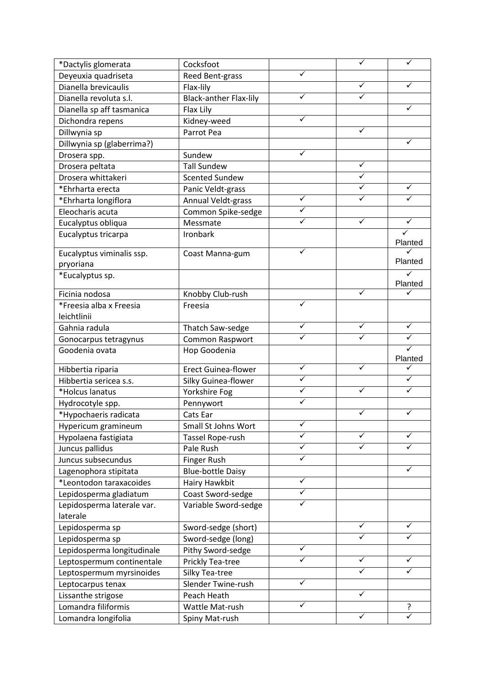| *Dactylis glomerata        | Cocksfoot                     |              | $\checkmark$ | ✓                       |
|----------------------------|-------------------------------|--------------|--------------|-------------------------|
| Deyeuxia quadriseta        | Reed Bent-grass               | ✓            |              |                         |
| Dianella brevicaulis       | Flax-lily                     |              | ✓            | ✓                       |
| Dianella revoluta s.l.     | <b>Black-anther Flax-lily</b> | ✓            | ✓            |                         |
| Dianella sp aff tasmanica  | Flax Lily                     |              |              | ✓                       |
| Dichondra repens           | Kidney-weed                   | $\checkmark$ |              |                         |
| Dillwynia sp               | Parrot Pea                    |              | ✓            |                         |
| Dillwynia sp (glaberrima?) |                               |              |              | ✓                       |
| Drosera spp.               | Sundew                        | ✓            |              |                         |
| Drosera peltata            | <b>Tall Sundew</b>            |              | $\checkmark$ |                         |
| Drosera whittakeri         | <b>Scented Sundew</b>         |              | ✓            |                         |
| *Ehrharta erecta           | Panic Veldt-grass             |              | ✓            | ✓                       |
| *Ehrharta longiflora       | Annual Veldt-grass            | ✓            | ✓            | ✓                       |
| Eleocharis acuta           | Common Spike-sedge            | ✓            |              |                         |
| Eucalyptus obliqua         | Messmate                      | ✓            | ✓            | ✓                       |
| Eucalyptus tricarpa        | Ironbark                      |              |              | $\checkmark$            |
|                            |                               |              |              | Planted                 |
| Eucalyptus viminalis ssp.  | Coast Manna-gum               | ✓            |              | ✓                       |
| pryoriana                  |                               |              |              | Planted                 |
| *Eucalyptus sp.            |                               |              |              | ✓                       |
| Ficinia nodosa             | Knobby Club-rush              |              | $\checkmark$ | Planted<br>✓            |
| *Freesia alba x Freesia    | Freesia                       | ✓            |              |                         |
| leichtlinii                |                               |              |              |                         |
| Gahnia radula              | Thatch Saw-sedge              | ✓            | ✓            | $\checkmark$            |
| Gonocarpus tetragynus      | Common Raspwort               |              |              | ✓                       |
| Goodenia ovata             | Hop Goodenia                  |              |              | $\overline{\checkmark}$ |
|                            |                               |              |              | Planted                 |
| Hibbertia riparia          | <b>Erect Guinea-flower</b>    | ✓            | ✓            | ✓                       |
| Hibbertia sericea s.s.     | Silky Guinea-flower           | $\checkmark$ |              | ✓                       |
| *Holcus lanatus            | Yorkshire Fog                 | ✓            | ✓            | $\checkmark$            |
| Hydrocotyle spp.           | Pennywort                     | ✓            |              |                         |
| *Hypochaeris radicata      | Cats Ear                      |              | ✓            | ✓                       |
| Hypericum gramineum        | Small St Johns Wort           | $\checkmark$ |              |                         |
| Hypolaena fastigiata       | Tassel Rope-rush              | ✓            |              | ✓                       |
| Juncus pallidus            | Pale Rush                     | ✓            | ✓            | ✓                       |
| Juncus subsecundus         | Finger Rush                   | $\checkmark$ |              |                         |
| Lagenophora stipitata      | <b>Blue-bottle Daisy</b>      |              |              | ✓                       |
| *Leontodon taraxacoides    | Hairy Hawkbit                 | ✓            |              |                         |
| Lepidosperma gladiatum     | Coast Sword-sedge             | ✓            |              |                         |
| Lepidosperma laterale var. | Variable Sword-sedge          | ✓            |              |                         |
| laterale                   |                               |              |              |                         |
| Lepidosperma sp            | Sword-sedge (short)           |              | ✓            | ✓                       |
| Lepidosperma sp            | Sword-sedge (long)            |              | ✓            | ✓                       |
| Lepidosperma longitudinale | Pithy Sword-sedge             | ✓            |              |                         |
| Leptospermum continentale  | Prickly Tea-tree              | ✓            | $\checkmark$ | ✓                       |
| Leptospermum myrsinoides   | Silky Tea-tree                |              | ✓            | $\checkmark$            |
| Leptocarpus tenax          | Slender Twine-rush            | ✓            |              |                         |
| Lissanthe strigose         | Peach Heath                   |              | $\checkmark$ |                         |
| Lomandra filiformis        | Wattle Mat-rush               | ✓            |              | ?                       |
| Lomandra longifolia        | Spiny Mat-rush                |              | ✓            | $\checkmark$            |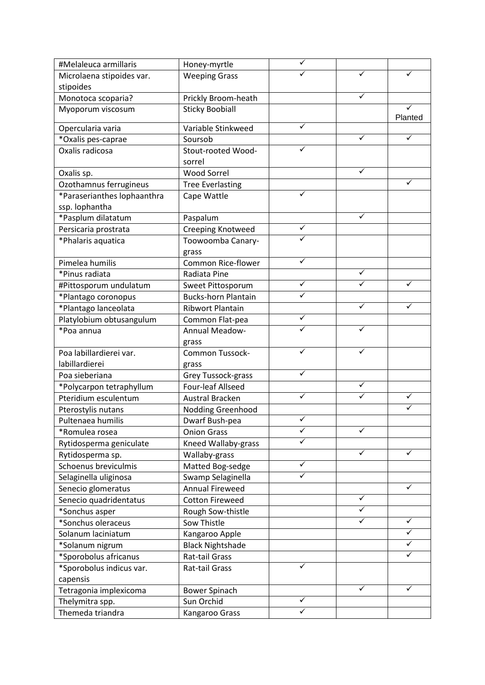| #Melaleuca armillaris       | Honey-myrtle               |   |              |              |
|-----------------------------|----------------------------|---|--------------|--------------|
| Microlaena stipoides var.   | <b>Weeping Grass</b>       |   | ✓            | ✓            |
| stipoides                   |                            |   |              |              |
| Monotoca scoparia?          | Prickly Broom-heath        |   |              |              |
| Myoporum viscosum           | <b>Sticky Boobiall</b>     |   |              | ✓<br>Planted |
| Opercularia varia           | Variable Stinkweed         | ✓ |              |              |
| *Oxalis pes-caprae          | Soursob                    |   | ✓            | ✓            |
| Oxalis radicosa             | Stout-rooted Wood-         | ✓ |              |              |
|                             | sorrel                     |   |              |              |
| Oxalis sp.                  | <b>Wood Sorrel</b>         |   | ✓            |              |
| Ozothamnus ferrugineus      | <b>Tree Everlasting</b>    |   |              | ✓            |
| *Paraserianthes lophaanthra | Cape Wattle                |   |              |              |
| ssp. lophantha              |                            |   |              |              |
| *Pasplum dilatatum          | Paspalum                   |   | ✓            |              |
| Persicaria prostrata        | Creeping Knotweed          | ✓ |              |              |
| *Phalaris aquatica          | Toowoomba Canary-          |   |              |              |
|                             | grass                      |   |              |              |
| Pimelea humilis             | Common Rice-flower         |   |              |              |
| *Pinus radiata              | Radiata Pine               |   | ✓            |              |
| #Pittosporum undulatum      | Sweet Pittosporum          | ✓ |              | ✓            |
| *Plantago coronopus         | <b>Bucks-horn Plantain</b> |   |              |              |
| *Plantago lanceolata        | <b>Ribwort Plantain</b>    |   | ✓            | ✓            |
| Platylobium obtusangulum    | Common Flat-pea            | ✓ |              |              |
| *Poa annua                  | Annual Meadow-             | ✓ | $\checkmark$ |              |
|                             | grass                      |   |              |              |
| Poa labillardierei var.     | Common Tussock-            | ✓ |              |              |
| labillardierei              | grass                      |   |              |              |
| Poa sieberiana              | Grey Tussock-grass         | ✓ |              |              |
| *Polycarpon tetraphyllum    | Four-leaf Allseed          |   | ✓            |              |
| Pteridium esculentum        | <b>Austral Bracken</b>     | ✓ | ✓            | ✓            |
| Pterostylis nutans          | Nodding Greenhood          |   |              | $\checkmark$ |
| Pultenaea humilis           | Dwarf Bush-pea             | ✓ |              |              |
| *Romulea rosea              | <b>Onion Grass</b>         | ✓ | ✓            |              |
| Rytidosperma geniculate     | Kneed Wallaby-grass        |   |              |              |
| Rytidosperma sp.            | Wallaby-grass              |   | ✓            | ✓            |
| Schoenus breviculmis        | Matted Bog-sedge           | ✓ |              |              |
| Selaginella uliginosa       | Swamp Selaginella          | ✓ |              |              |
| Senecio glomeratus          | Annual Fireweed            |   |              | ✓            |
| Senecio quadridentatus      | <b>Cotton Fireweed</b>     |   | ✓            |              |
| *Sonchus asper              | Rough Sow-thistle          |   | ✓            |              |
| *Sonchus oleraceus          | Sow Thistle                |   | ✓            | ✓            |
| Solanum laciniatum          | Kangaroo Apple             |   |              | ✓            |
| *Solanum nigrum             | <b>Black Nightshade</b>    |   |              | $\checkmark$ |
| *Sporobolus africanus       | Rat-tail Grass             |   |              | $\checkmark$ |
| *Sporobolus indicus var.    | Rat-tail Grass             |   |              |              |
| capensis                    |                            |   |              |              |
| Tetragonia implexicoma      | <b>Bower Spinach</b>       |   | ✓            | ✓            |
| Thelymitra spp.             | Sun Orchid                 | ✓ |              |              |
| Themeda triandra            | Kangaroo Grass             | ✓ |              |              |